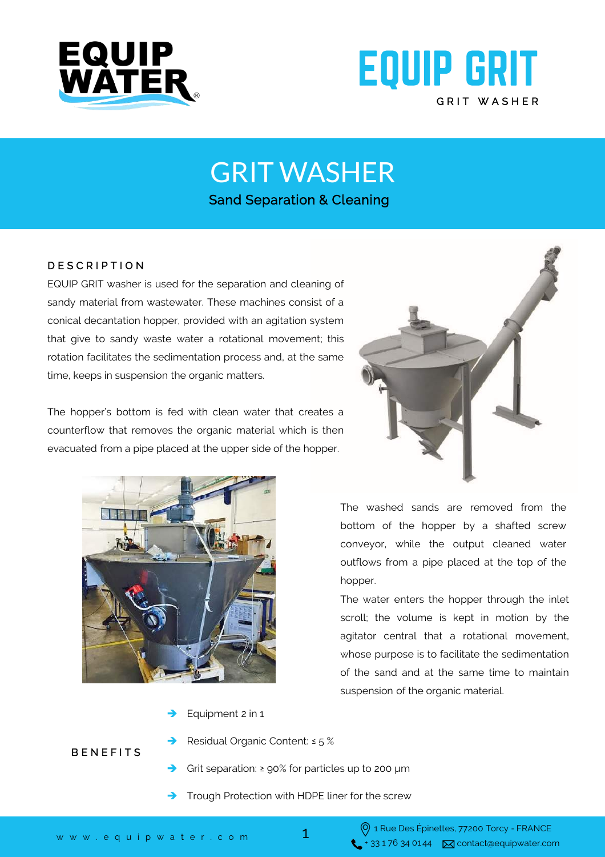



GRIT WASHER

Sand Separation & Cleaning

## D E S C R I P T I O N

EQUIP GRIT washer is used for the separation and cleaning of sandy material from wastewater. These machines consist of a conical decantation hopper, provided with an agitation system that give to sandy waste water a rotational movement; this rotation facilitates the sedimentation process and, at the same time, keeps in suspension the organic matters.

The hopper's bottom is fed with clean water that creates a counterflow that removes the organic material which is then evacuated from a pipe placed at the upper side of the hopper.





The washed sands are removed from the bottom of the hopper by a shafted screw conveyor, while the output cleaned water outflows from a pipe placed at the top of the hopper.

The water enters the hopper through the inlet scroll; the volume is kept in motion by the agitator central that a rotational movement, whose purpose is to facilitate the sedimentation of the sand and at the same time to maintain suspension of the organic material.

- Equipment 2 in 1
- Residual Organic Content: ≤ 5 %
- Grit separation: ≥ 90% for particles up to 200 μm
- Trough Protection with HDPE liner for the screw

**BENEFITS**